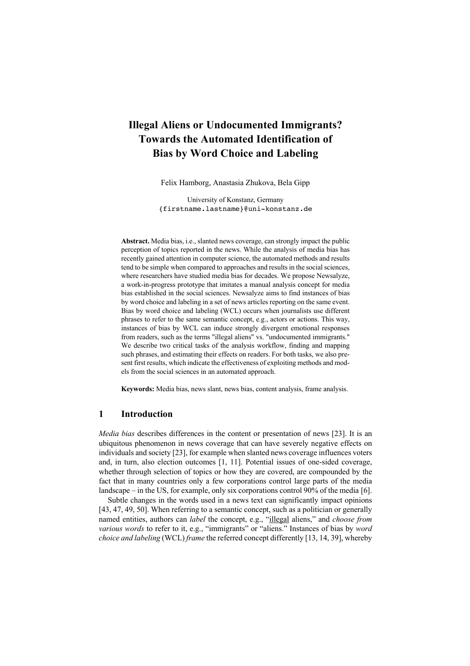# **Illegal Aliens or Undocumented Immigrants? Towards the Automated Identification of Bias by Word Choice and Labeling**

Felix Hamborg, Anastasia Zhukova, Bela Gipp

University of Konstanz, Germany {firstname.lastname}@uni-konstanz.de

**Abstract.** Media bias, i.e., slanted news coverage, can strongly impact the public perception of topics reported in the news. While the analysis of media bias has recently gained attention in computer science, the automated methods and results tend to be simple when compared to approaches and results in the social sciences, where researchers have studied media bias for decades. We propose Newsalyze, a work-in-progress prototype that imitates a manual analysis concept for media bias established in the social sciences. Newsalyze aims to find instances of bias by word choice and labeling in a set of news articles reporting on the same event. Bias by word choice and labeling (WCL) occurs when journalists use different phrases to refer to the same semantic concept, e.g., actors or actions. This way, instances of bias by WCL can induce strongly divergent emotional responses from readers, such as the terms "illegal aliens" vs. "undocumented immigrants." We describe two critical tasks of the analysis workflow, finding and mapping such phrases, and estimating their effects on readers. For both tasks, we also present first results, which indicate the effectiveness of exploiting methods and models from the social sciences in an automated approach.

**Keywords:** Media bias, news slant, news bias, content analysis, frame analysis.

## **1 Introduction**

*Media bias* describes differences in the content or presentation of news [23]. It is an ubiquitous phenomenon in news coverage that can have severely negative effects on individuals and society [23], for example when slanted news coverage influences voters and, in turn, also election outcomes [1, 11]. Potential issues of one-sided coverage, whether through selection of topics or how they are covered, are compounded by the fact that in many countries only a few corporations control large parts of the media landscape – in the US, for example, only six corporations control  $90\%$  of the media [6].

Subtle changes in the words used in a news text can significantly impact opinions [43, 47, 49, 50]. When referring to a semantic concept, such as a politician or generally named entities, authors can *label* the concept, e.g., "illegal aliens," and *choose from various words* to refer to it, e.g., "immigrants" or "aliens." Instances of bias by *word choice and labeling* (WCL) *frame* the referred concept differently [13, 14, 39], whereby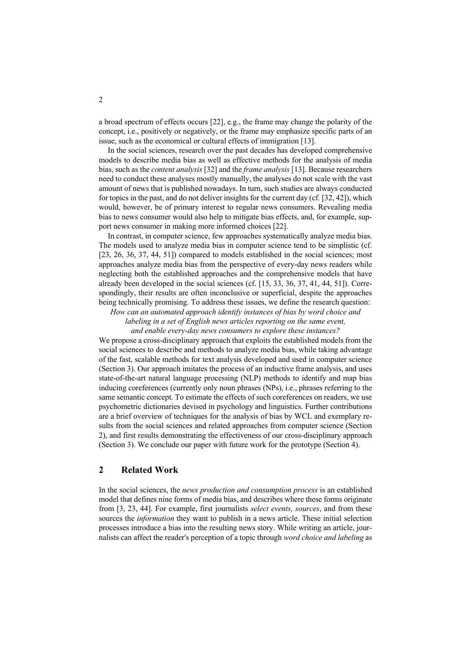a broad spectrum of effects occurs [22], e.g., the frame may change the polarity of the concept, i.e., positively or negatively, or the frame may emphasize specific parts of an issue, such as the economical or cultural effects of immigration [13].

In the social sciences, research over the past decades has developed comprehensive models to describe media bias as well as effective methods for the analysis of media bias, such as the *content analysis* [32] and the *frame analysis* [13]. Because researchers need to conduct these analyses mostly manually, the analyses do not scale with the vast amount of news that is published nowadays. In turn, such studies are always conducted for topics in the past, and do not deliver insights for the current day (cf.  $[32, 42]$ ), which would, however, be of primary interest to regular news consumers. Revealing media bias to news consumer would also help to mitigate bias effects, and, for example, support news consumer in making more informed choices [22].

In contrast, in computer science, few approaches systematically analyze media bias. The models used to analyze media bias in computer science tend to be simplistic (cf. [23, 26, 36, 37, 44, 51]) compared to models established in the social sciences; most approaches analyze media bias from the perspective of every-day news readers while neglecting both the established approaches and the comprehensive models that have already been developed in the social sciences (cf. [15, 33, 36, 37, 41, 44, 51]). Correspondingly, their results are often inconclusive or superficial, despite the approaches being technically promising. To address these issues, we define the research question:

*How can an automated approach identify instances of bias by word choice and labeling in a set of English news articles reporting on the same event, and enable every-day news consumers to explore these instances?*

We propose a cross-disciplinary approach that exploits the established models from the social sciences to describe and methods to analyze media bias, while taking advantage of the fast, scalable methods for text analysis developed and used in computer science (Section 3). Our approach imitates the process of an inductive frame analysis, and uses state-of-the-art natural language processing (NLP) methods to identify and map bias inducing coreferences (currently only noun phrases (NPs), i.e., phrases referring to the same semantic concept. To estimate the effects of such coreferences on readers, we use psychometric dictionaries devised in psychology and linguistics. Further contributions are a brief overview of techniques for the analysis of bias by WCL and exemplary results from the social sciences and related approaches from computer science (Section 2), and first results demonstrating the effectiveness of our cross-disciplinary approach (Section 3). We conclude our paper with future work for the prototype (Section 4).

# **2 Related Work**

In the social sciences, the *news production and consumption process* is an established model that defines nine forms of media bias, and describes where these forms originate from [3, 23, 44]. For example, first journalists *select events, sources*, and from these sources the *information* they want to publish in a news article. These initial selection processes introduce a bias into the resulting news story. While writing an article, journalists can affect the reader's perception of a topic through *word choice and labeling* as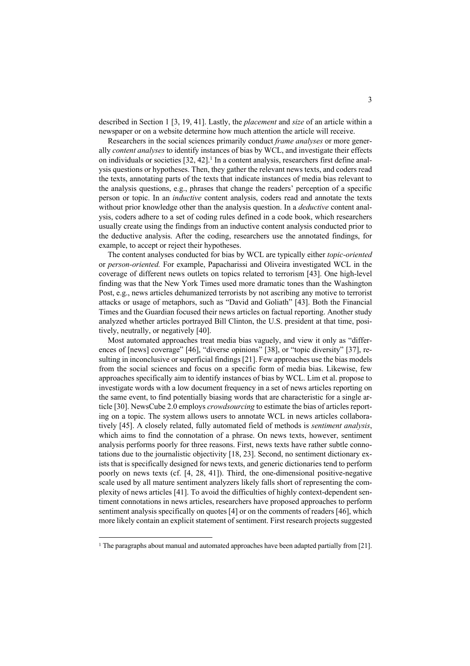described in Section 1 [3, 19, 41]. Lastly, the *placement* and *size* of an article within a newspaper or on a website determine how much attention the article will receive.

Researchers in the social sciences primarily conduct *frame analyses* or more generally *content analyses* to identify instances of bias by WCL, and investigate their effects on individuals or societies [32, 42]. <sup>1</sup> In a content analysis, researchers first define analysis questions or hypotheses. Then, they gather the relevant news texts, and coders read the texts, annotating parts of the texts that indicate instances of media bias relevant to the analysis questions, e.g., phrases that change the readers' perception of a specific person or topic. In an *inductive* content analysis, coders read and annotate the texts without prior knowledge other than the analysis question. In a *deductive* content analysis, coders adhere to a set of coding rules defined in a code book, which researchers usually create using the findings from an inductive content analysis conducted prior to the deductive analysis. After the coding, researchers use the annotated findings, for example, to accept or reject their hypotheses.

The content analyses conducted for bias by WCL are typically either *topic-oriented* or *person-oriented.* For example, Papacharissi and Oliveira investigated WCL in the coverage of different news outlets on topics related to terrorism [43]. One high-level finding was that the New York Times used more dramatic tones than the Washington Post, e.g., news articles dehumanized terrorists by not ascribing any motive to terrorist attacks or usage of metaphors, such as "David and Goliath" [43]. Both the Financial Times and the Guardian focused their news articles on factual reporting. Another study analyzed whether articles portrayed Bill Clinton, the U.S. president at that time, positively, neutrally, or negatively [40].

Most automated approaches treat media bias vaguely, and view it only as "differences of [news] coverage" [46], "diverse opinions" [38], or "topic diversity" [37], resulting in inconclusive or superficial findings [21]. Few approaches use the bias models from the social sciences and focus on a specific form of media bias. Likewise, few approaches specifically aim to identify instances of bias by WCL. Lim et al. propose to investigate words with a low document frequency in a set of news articles reporting on the same event, to find potentially biasing words that are characteristic for a single article [30]. NewsCube 2.0 employs *crowdsourcing* to estimate the bias of articles reporting on a topic. The system allows users to annotate WCL in news articles collaboratively [45]. A closely related, fully automated field of methods is *sentiment analysis*, which aims to find the connotation of a phrase. On news texts, however, sentiment analysis performs poorly for three reasons. First, news texts have rather subtle connotations due to the journalistic objectivity [18, 23]. Second, no sentiment dictionary exists that is specifically designed for news texts, and generic dictionaries tend to perform poorly on news texts (cf. [4, 28, 41]). Third, the one-dimensional positive-negative scale used by all mature sentiment analyzers likely falls short of representing the complexity of news articles [41]. To avoid the difficulties of highly context-dependent sentiment connotations in news articles, researchers have proposed approaches to perform sentiment analysis specifically on quotes [4] or on the comments of readers [46], which more likely contain an explicit statement of sentiment. First research projects suggested

 <sup>1</sup> The paragraphs about manual and automated approaches have been adapted partially from [21].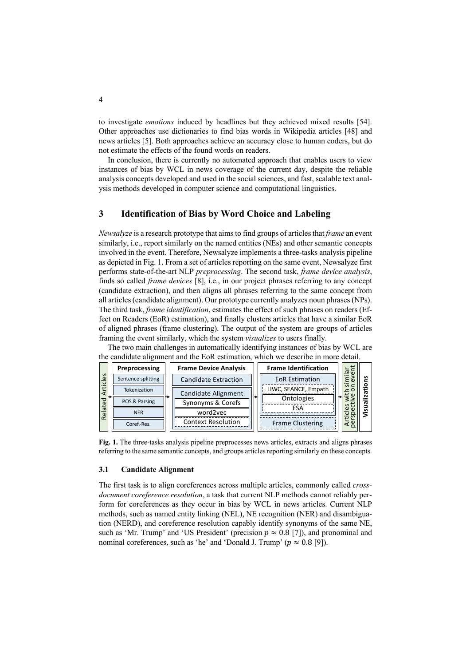to investigate *emotions* induced by headlines but they achieved mixed results [54]. Other approaches use dictionaries to find bias words in Wikipedia articles [48] and news articles [5]. Both approaches achieve an accuracy close to human coders, but do not estimate the effects of the found words on readers.

In conclusion, there is currently no automated approach that enables users to view instances of bias by WCL in news coverage of the current day, despite the reliable analysis concepts developed and used in the social sciences, and fast, scalable text analysis methods developed in computer science and computational linguistics.

## **3 Identification of Bias by Word Choice and Labeling**

*Newsalyze* is a research prototype that aims to find groups of articles that *frame* an event similarly, i.e., report similarly on the named entities (NEs) and other semantic concepts involved in the event. Therefore, Newsalyze implements a three-tasks analysis pipeline as depicted in Fig. 1. From a set of articles reporting on the same event, Newsalyze first performs state-of-the-art NLP *preprocessing*. The second task, *frame device analysis*, finds so called *frame devices* [8], i.e., in our project phrases referring to any concept (candidate extraction), and then aligns all phrases referring to the same concept from all articles(candidate alignment). Our prototype currently analyzes noun phrases (NPs). The third task, *frame identification*, estimates the effect of such phrases on readers (Effect on Readers (EoR) estimation), and finally clusters articles that have a similar EoR of aligned phrases (frame clustering). The output of the system are groups of articles framing the event similarly, which the system *visualizes* to users finally.

The two main challenges in automatically identifying instances of bias by WCL are the candidate alignment and the EoR estimation, which we describe in more detail.



**Fig. 1.** The three-tasks analysis pipeline preprocesses news articles, extracts and aligns phrases referring to the same semantic concepts, and groups articles reporting similarly on these concepts.

#### **3.1 Candidate Alignment**

The first task is to align coreferences across multiple articles, commonly called *crossdocument coreference resolution*, a task that current NLP methods cannot reliably perform for coreferences as they occur in bias by WCL in news articles. Current NLP methods, such as named entity linking (NEL), NE recognition (NER) and disambiguation (NERD), and coreference resolution capably identify synonyms of the same NE, such as 'Mr. Trump' and 'US President' (precision  $p \approx 0.8$  [7]), and pronominal and nominal coreferences, such as 'he' and 'Donald J. Trump' ( $p \approx 0.8$  [9]).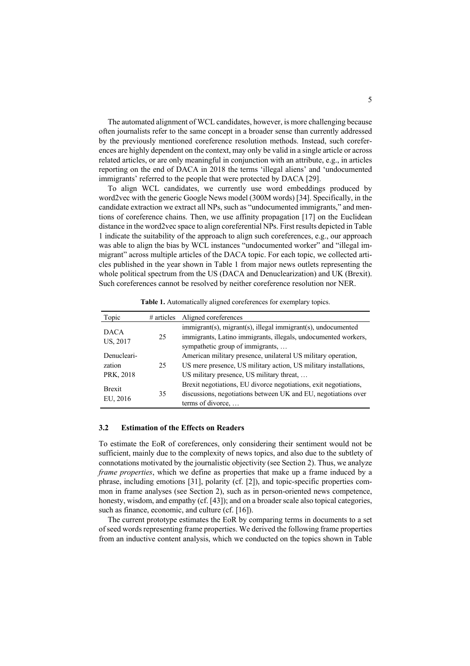The automated alignment of WCL candidates, however, is more challenging because often journalists refer to the same concept in a broader sense than currently addressed by the previously mentioned coreference resolution methods. Instead, such coreferences are highly dependent on the context, may only be valid in a single article or across related articles, or are only meaningful in conjunction with an attribute, e.g., in articles reporting on the end of DACA in 2018 the terms 'illegal aliens' and 'undocumented immigrants' referred to the people that were protected by DACA [29].

To align WCL candidates, we currently use word embeddings produced by word2vec with the generic Google News model (300M words) [34]. Specifically, in the candidate extraction we extract all NPs, such as "undocumented immigrants," and mentions of coreference chains. Then, we use affinity propagation [17] on the Euclidean distance in the word2vec space to align coreferential NPs. First results depicted in Table 1 indicate the suitability of the approach to align such coreferences, e.g., our approach was able to align the bias by WCL instances "undocumented worker" and "illegal immigrant" across multiple articles of the DACA topic. For each topic, we collected articles published in the year shown in Table 1 from major news outlets representing the whole political spectrum from the US (DACA and Denuclearization) and UK (Brexit). Such coreferences cannot be resolved by neither coreference resolution nor NER.

| Topic                              | $\#$ articles | Aligned coreferences                                                                                                                                                           |
|------------------------------------|---------------|--------------------------------------------------------------------------------------------------------------------------------------------------------------------------------|
| <b>DACA</b><br>US, 2017            | 25            | immigrant(s), migrant(s), illegal immigrant(s), undocumented<br>immigrants, Latino immigrants, illegals, undocumented workers,<br>sympathetic group of immigrants,             |
| Denucleari-<br>zation<br>PRK, 2018 | 25            | American military presence, unilateral US military operation,<br>US mere presence, US military action, US military installations,<br>US military presence, US military threat, |
| <b>Brexit</b><br>EU, 2016          | 35            | Brexit negotiations, EU divorce negotiations, exit negotiations,<br>discussions, negotiations between UK and EU, negotiations over<br>terms of divorce,                        |

**Table 1.** Automatically aligned coreferences for exemplary topics.

#### **3.2 Estimation of the Effects on Readers**

To estimate the EoR of coreferences, only considering their sentiment would not be sufficient, mainly due to the complexity of news topics, and also due to the subtlety of connotations motivated by the journalistic objectivity (see Section 2). Thus, we analyze *frame properties*, which we define as properties that make up a frame induced by a phrase, including emotions [31], polarity (cf. [2]), and topic-specific properties common in frame analyses (see Section 2), such as in person-oriented news competence, honesty, wisdom, and empathy (cf. [43]); and on a broader scale also topical categories, such as finance, economic, and culture (cf. [16]).

The current prototype estimates the EoR by comparing terms in documents to a set of seed words representing frame properties. We derived the following frame properties from an inductive content analysis, which we conducted on the topics shown in Table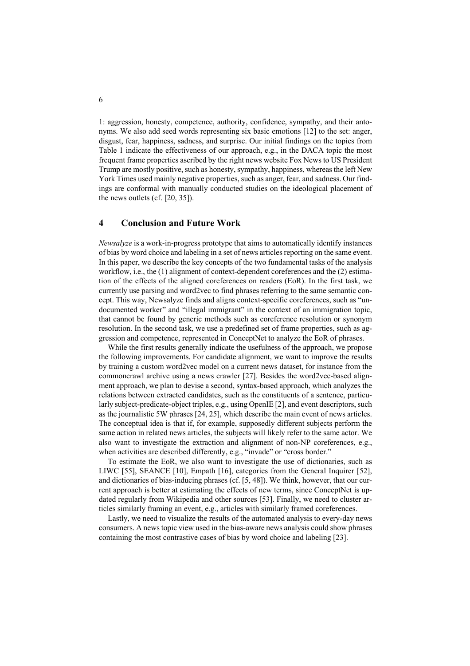1: aggression, honesty, competence, authority, confidence, sympathy, and their antonyms. We also add seed words representing six basic emotions [12] to the set: anger, disgust, fear, happiness, sadness, and surprise. Our initial findings on the topics from Table 1 indicate the effectiveness of our approach, e.g., in the DACA topic the most frequent frame properties ascribed by the right news website Fox News to US President Trump are mostly positive, such as honesty, sympathy, happiness, whereas the left New York Times used mainly negative properties, such as anger, fear, and sadness. Our findings are conformal with manually conducted studies on the ideological placement of the news outlets (cf. [20, 35]).

## **4 Conclusion and Future Work**

*Newsalyze* is a work-in-progress prototype that aims to automatically identify instances of bias by word choice and labeling in a set of news articles reporting on the same event. In this paper, we describe the key concepts of the two fundamental tasks of the analysis workflow, i.e., the (1) alignment of context-dependent coreferences and the (2) estimation of the effects of the aligned coreferences on readers (EoR). In the first task, we currently use parsing and word2vec to find phrases referring to the same semantic concept. This way, Newsalyze finds and aligns context-specific coreferences, such as "undocumented worker" and "illegal immigrant" in the context of an immigration topic, that cannot be found by generic methods such as coreference resolution or synonym resolution. In the second task, we use a predefined set of frame properties, such as aggression and competence, represented in ConceptNet to analyze the EoR of phrases.

While the first results generally indicate the usefulness of the approach, we propose the following improvements. For candidate alignment, we want to improve the results by training a custom word2vec model on a current news dataset, for instance from the commoncrawl archive using a news crawler [27]. Besides the word2vec-based alignment approach, we plan to devise a second, syntax-based approach, which analyzes the relations between extracted candidates, such as the constituents of a sentence, particularly subject-predicate-object triples, e.g., using OpenIE [2], and event descriptors, such as the journalistic 5W phrases [24, 25], which describe the main event of news articles. The conceptual idea is that if, for example, supposedly different subjects perform the same action in related news articles, the subjects will likely refer to the same actor. We also want to investigate the extraction and alignment of non-NP coreferences, e.g., when activities are described differently, e.g., "invade" or "cross border."

To estimate the EoR, we also want to investigate the use of dictionaries, such as LIWC [55], SEANCE [10], Empath [16], categories from the General Inquirer [52], and dictionaries of bias-inducing phrases (cf. [5, 48]). We think, however, that our current approach is better at estimating the effects of new terms, since ConceptNet is updated regularly from Wikipedia and other sources [53]. Finally, we need to cluster articles similarly framing an event, e.g., articles with similarly framed coreferences.

Lastly, we need to visualize the results of the automated analysis to every-day news consumers. A news topic view used in the bias-aware news analysis could show phrases containing the most contrastive cases of bias by word choice and labeling [23].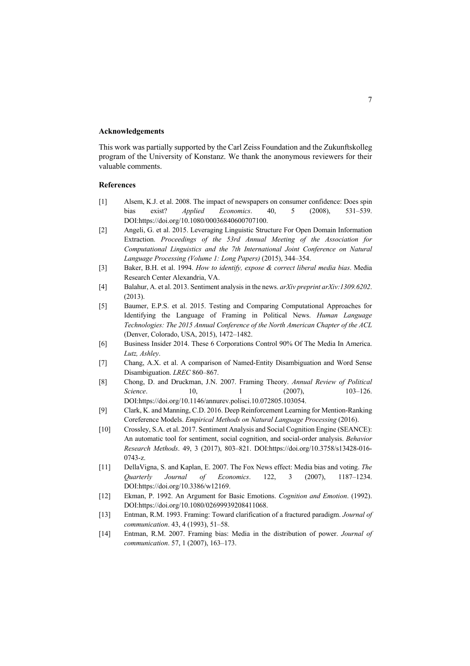### **Acknowledgements**

This work was partially supported by the Carl Zeiss Foundation and the Zukunftskolleg program of the University of Konstanz. We thank the anonymous reviewers for their valuable comments.

## **References**

- [1] Alsem, K.J. et al. 2008. The impact of newspapers on consumer confidence: Does spin bias exist? *Applied Economics*. 40, 5 (2008), 531–539. DOI:https://doi.org/10.1080/00036840600707100.
- [2] Angeli, G. et al. 2015. Leveraging Linguistic Structure For Open Domain Information Extraction. *Proceedings of the 53rd Annual Meeting of the Association for Computational Linguistics and the 7th International Joint Conference on Natural Language Processing (Volume 1: Long Papers)* (2015), 344–354.
- [3] Baker, B.H. et al. 1994. *How to identify, expose & correct liberal media bias*. Media Research Center Alexandria, VA.
- [4] Balahur, A. et al. 2013. Sentiment analysis in the news. *arXiv preprint arXiv:1309.6202*. (2013).
- [5] Baumer, E.P.S. et al. 2015. Testing and Comparing Computational Approaches for Identifying the Language of Framing in Political News. *Human Language Technologies: The 2015 Annual Conference of the North American Chapter of the ACL* (Denver, Colorado, USA, 2015), 1472–1482.
- [6] Business Insider 2014. These 6 Corporations Control 90% Of The Media In America. *Lutz, Ashley*.
- [7] Chang, A.X. et al. A comparison of Named-Entity Disambiguation and Word Sense Disambiguation. *LREC* 860–867.
- [8] Chong, D. and Druckman, J.N. 2007. Framing Theory. *Annual Review of Political Science*. 10, 1 (2007), 103–126. DOI:https://doi.org/10.1146/annurev.polisci.10.072805.103054.
- [9] Clark, K. and Manning, C.D. 2016. Deep Reinforcement Learning for Mention-Ranking Coreference Models. *Empirical Methods on Natural Language Processing* (2016).
- [10] Crossley, S.A. et al. 2017. Sentiment Analysis and Social Cognition Engine (SEANCE): An automatic tool for sentiment, social cognition, and social-order analysis. *Behavior Research Methods*. 49, 3 (2017), 803–821. DOI:https://doi.org/10.3758/s13428-016- 0743-z.
- [11] DellaVigna, S. and Kaplan, E. 2007. The Fox News effect: Media bias and voting. *The Quarterly Journal of Economics*. 122, 3 (2007), 1187–1234. DOI:https://doi.org/10.3386/w12169.
- [12] Ekman, P. 1992. An Argument for Basic Emotions. *Cognition and Emotion*. (1992). DOI:https://doi.org/10.1080/02699939208411068.
- [13] Entman, R.M. 1993. Framing: Toward clarification of a fractured paradigm. *Journal of communication*. 43, 4 (1993), 51–58.
- [14] Entman, R.M. 2007. Framing bias: Media in the distribution of power. *Journal of communication*. 57, 1 (2007), 163–173.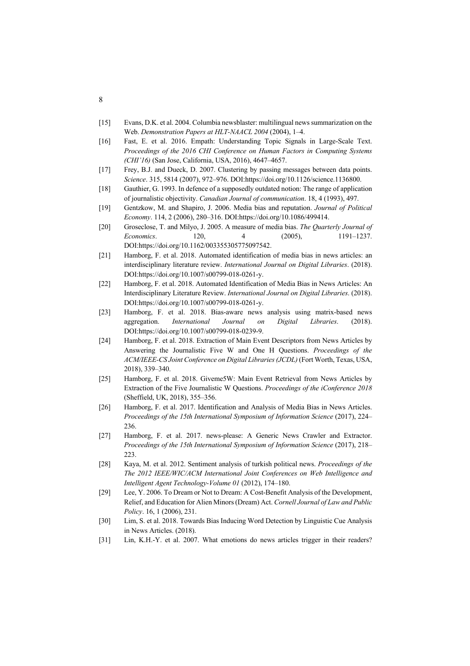- [15] Evans, D.K. et al. 2004. Columbia newsblaster: multilingual news summarization on the Web. *Demonstration Papers at HLT-NAACL 2004* (2004), 1–4.
- [16] Fast, E. et al. 2016. Empath: Understanding Topic Signals in Large-Scale Text. *Proceedings of the 2016 CHI Conference on Human Factors in Computing Systems (CHI'16)* (San Jose, California, USA, 2016), 4647–4657.
- [17] Frey, B.J. and Dueck, D. 2007. Clustering by passing messages between data points. *Science*. 315, 5814 (2007), 972–976. DOI:https://doi.org/10.1126/science.1136800.
- [18] Gauthier, G. 1993. In defence of a supposedly outdated notion: The range of application of journalistic objectivity. *Canadian Journal of communication*. 18, 4 (1993), 497.
- [19] Gentzkow, M. and Shapiro, J. 2006. Media bias and reputation. *Journal of Political Economy*. 114, 2 (2006), 280–316. DOI:https://doi.org/10.1086/499414.
- [20] Groseclose, T. and Milyo, J. 2005. A measure of media bias. *The Quarterly Journal of Economics*. 120, 4 (2005), 1191–1237. DOI:https://doi.org/10.1162/003355305775097542.
- [21] Hamborg, F. et al. 2018. Automated identification of media bias in news articles: an interdisciplinary literature review. *International Journal on Digital Libraries*. (2018). DOI:https://doi.org/10.1007/s00799-018-0261-y.
- [22] Hamborg, F. et al. 2018. Automated Identification of Media Bias in News Articles: An Interdisciplinary Literature Review. *International Journal on Digital Libraries*. (2018). DOI:https://doi.org/10.1007/s00799-018-0261-y.
- [23] Hamborg, F. et al. 2018. Bias-aware news analysis using matrix-based news aggregation. *International Journal on Digital Libraries*. (2018). DOI:https://doi.org/10.1007/s00799-018-0239-9.
- [24] Hamborg, F. et al. 2018. Extraction of Main Event Descriptors from News Articles by Answering the Journalistic Five W and One H Questions. *Proceedings of the ACM/IEEE-CS Joint Conference on Digital Libraries (JCDL)* (Fort Worth, Texas, USA, 2018), 339–340.
- [25] Hamborg, F. et al. 2018. Giveme5W: Main Event Retrieval from News Articles by Extraction of the Five Journalistic W Questions. *Proceedings of the iConference 2018* (Sheffield, UK, 2018), 355–356.
- [26] Hamborg, F. et al. 2017. Identification and Analysis of Media Bias in News Articles. *Proceedings of the 15th International Symposium of Information Science* (2017), 224– 236.
- [27] Hamborg, F. et al. 2017. news-please: A Generic News Crawler and Extractor. *Proceedings of the 15th International Symposium of Information Science* (2017), 218– 223.
- [28] Kaya, M. et al. 2012. Sentiment analysis of turkish political news. *Proceedings of the The 2012 IEEE/WIC/ACM International Joint Conferences on Web Intelligence and Intelligent Agent Technology-Volume 01* (2012), 174–180.
- [29] Lee, Y. 2006. To Dream or Not to Dream: A Cost-Benefit Analysis of the Development, Relief, and Education for Alien Minors (Dream) Act. *Cornell Journal of Law and Public Policy*. 16, 1 (2006), 231.
- [30] Lim, S. et al. 2018. Towards Bias Inducing Word Detection by Linguistic Cue Analysis in News Articles. (2018).
- [31] Lin, K.H.-Y. et al. 2007. What emotions do news articles trigger in their readers?

8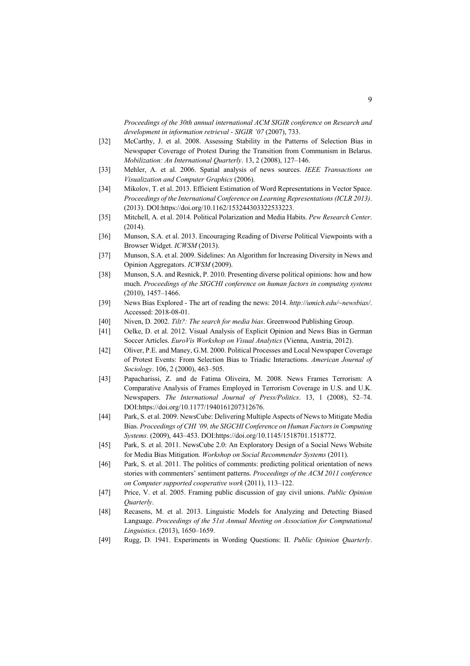*Proceedings of the 30th annual international ACM SIGIR conference on Research and development in information retrieval - SIGIR '07* (2007), 733.

- [32] McCarthy, J. et al. 2008. Assessing Stability in the Patterns of Selection Bias in Newspaper Coverage of Protest During the Transition from Communism in Belarus. *Mobilization: An International Quarterly*. 13, 2 (2008), 127–146.
- [33] Mehler, A. et al. 2006. Spatial analysis of news sources. *IEEE Transactions on Visualization and Computer Graphics* (2006).
- [34] Mikolov, T. et al. 2013. Efficient Estimation of Word Representations in Vector Space. *Proceedings of the International Conference on Learning Representations (ICLR 2013)*. (2013). DOI:https://doi.org/10.1162/153244303322533223.
- [35] Mitchell, A. et al. 2014. Political Polarization and Media Habits. *Pew Research Center*. (2014).
- [36] Munson, S.A. et al. 2013. Encouraging Reading of Diverse Political Viewpoints with a Browser Widget. *ICWSM* (2013).
- [37] Munson, S.A. et al. 2009. Sidelines: An Algorithm for Increasing Diversity in News and Opinion Aggregators. *ICWSM* (2009).
- [38] Munson, S.A. and Resnick, P. 2010. Presenting diverse political opinions: how and how much. *Proceedings of the SIGCHI conference on human factors in computing systems* (2010), 1457–1466.
- [39] News Bias Explored The art of reading the news: 2014. *http://umich.edu/~newsbias/*. Accessed: 2018-08-01.
- [40] Niven, D. 2002. *Tilt?: The search for media bias*. Greenwood Publishing Group.
- [41] Oelke, D. et al. 2012. Visual Analysis of Explicit Opinion and News Bias in German Soccer Articles. *EuroVis Workshop on Visual Analytics* (Vienna, Austria, 2012).
- [42] Oliver, P.E. and Maney, G.M. 2000. Political Processes and Local Newspaper Coverage of Protest Events: From Selection Bias to Triadic Interactions. *American Journal of Sociology*. 106, 2 (2000), 463–505.
- [43] Papacharissi, Z. and de Fatima Oliveira, M. 2008. News Frames Terrorism: A Comparative Analysis of Frames Employed in Terrorism Coverage in U.S. and U.K. Newspapers. *The International Journal of Press/Politics*. 13, 1 (2008), 52–74. DOI:https://doi.org/10.1177/1940161207312676.
- [44] Park, S. et al. 2009. NewsCube: Delivering Multiple Aspects of News to Mitigate Media Bias. *Proceedings of CHI '09, the SIGCHI Conference on Human Factors in Computing Systems*. (2009), 443–453. DOI:https://doi.org/10.1145/1518701.1518772.
- [45] Park, S. et al. 2011. NewsCube 2.0: An Exploratory Design of a Social News Website for Media Bias Mitigation. *Workshop on Social Recommender Systems* (2011).
- [46] Park, S. et al. 2011. The politics of comments: predicting political orientation of news stories with commenters' sentiment patterns. *Proceedings of the ACM 2011 conference on Computer supported cooperative work* (2011), 113–122.
- [47] Price, V. et al. 2005. Framing public discussion of gay civil unions. *Public Opinion Quarterly*.
- [48] Recasens, M. et al. 2013. Linguistic Models for Analyzing and Detecting Biased Language. *Proceedings of the 51st Annual Meeting on Association for Computational Linguistics*. (2013), 1650–1659.
- [49] Rugg, D. 1941. Experiments in Wording Questions: II. *Public Opinion Quarterly*.